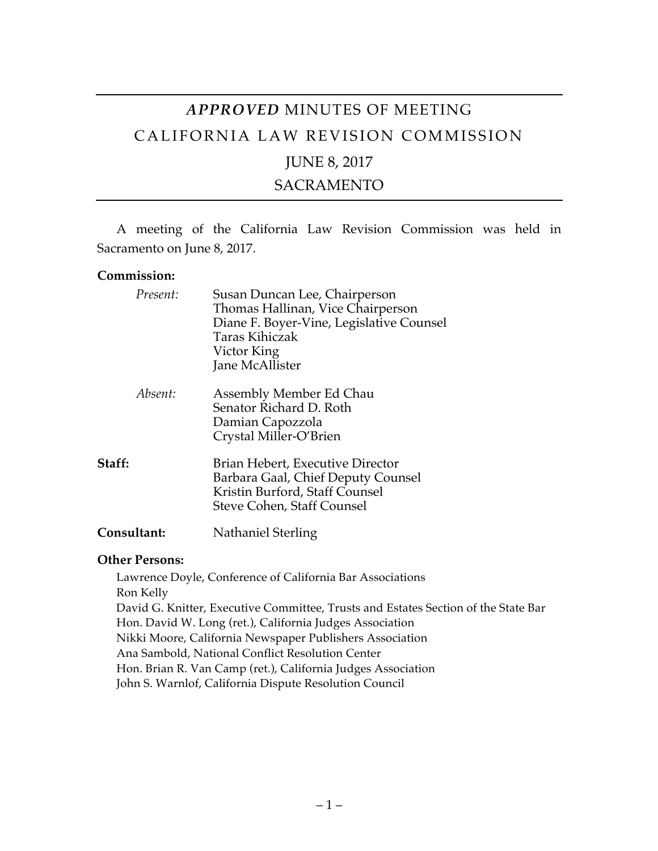# *APPROVED* MINUTES OF MEETING CALIFORNIA LAW REVISION COMMISSION

## JUNE 8, 2017

## SACRAMENTO

A meeting of the California Law Revision Commission was held in Sacramento on June 8, 2017.

#### **Commission:**

| Present:    | Susan Duncan Lee, Chairperson<br>Thomas Hallinan, Vice Chairperson<br>Diane F. Boyer-Vine, Legislative Counsel<br>Taras Kihiczak<br>Victor King<br>Jane McAllister |  |
|-------------|--------------------------------------------------------------------------------------------------------------------------------------------------------------------|--|
| Absent:     | Assembly Member Ed Chau<br>Senator Richard D. Roth<br>Damian Capozzola<br>Crystal Miller-O'Brien                                                                   |  |
| Staff:      | Brian Hebert, Executive Director<br>Barbara Gaal, Chief Deputy Counsel<br>Kristin Burford, Staff Counsel<br>Steve Cohen, Staff Counsel                             |  |
| Consultant: | Nathaniel Sterling                                                                                                                                                 |  |

#### **Other Persons:**

Lawrence Doyle, Conference of California Bar Associations Ron Kelly David G. Knitter, Executive Committee, Trusts and Estates Section of the State Bar Hon. David W. Long (ret.), California Judges Association Nikki Moore, California Newspaper Publishers Association Ana Sambold, National Conflict Resolution Center Hon. Brian R. Van Camp (ret.), California Judges Association John S. Warnlof, California Dispute Resolution Council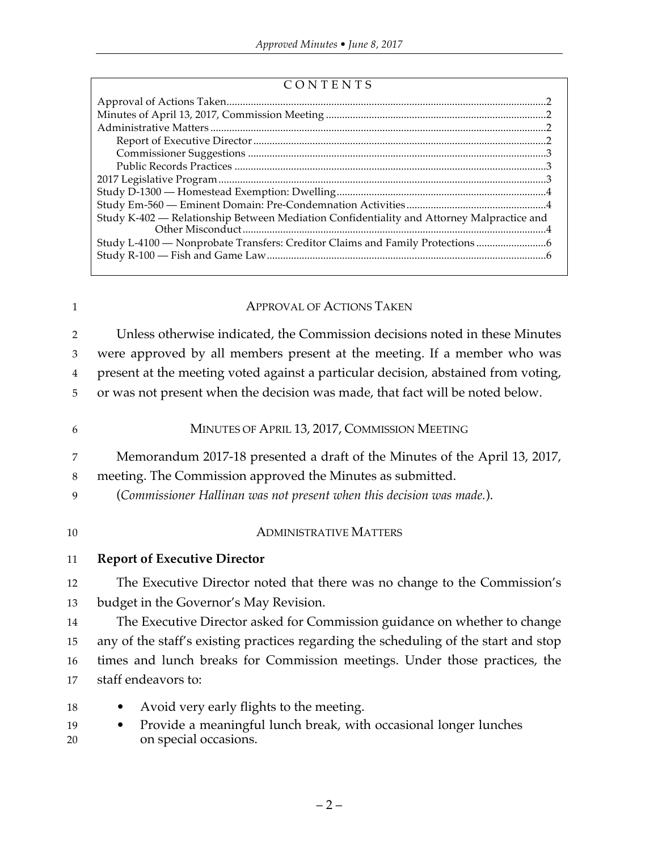#### CONTENTS

| Study K-402 - Relationship Between Mediation Confidentiality and Attorney Malpractice and |
|-------------------------------------------------------------------------------------------|
| Study L-4100 — Nonprobate Transfers: Creditor Claims and Family Protections               |
|                                                                                           |
|                                                                                           |

# 1 **APPROVAL OF ACTIONS TAKEN**

2 Unless otherwise indicated, the Commission decisions noted in these Minutes 3 were approved by all members present at the meeting. If a member who was 4 present at the meeting voted against a particular decision, abstained from voting,

5 or was not present when the decision was made, that fact will be noted below.

# 6 MINUTES OF APRIL 13, 2017, COMMISSION MEETING

7 Memorandum 2017-18 presented a draft of the Minutes of the April 13, 2017,

### 8 meeting. The Commission approved the Minutes as submitted.

9 (*Commissioner Hallinan was not present when this decision was made.*).

### 10 ADMINISTRATIVE MATTERS

### 11 **Report of Executive Director**

12 The Executive Director noted that there was no change to the Commission's 13 budget in the Governor's May Revision.

 The Executive Director asked for Commission guidance on whether to change any of the staff's existing practices regarding the scheduling of the start and stop times and lunch breaks for Commission meetings. Under those practices, the staff endeavors to:

- 18 Avoid very early flights to the meeting.
- 19 Provide a meaningful lunch break, with occasional longer lunches 20 on special occasions.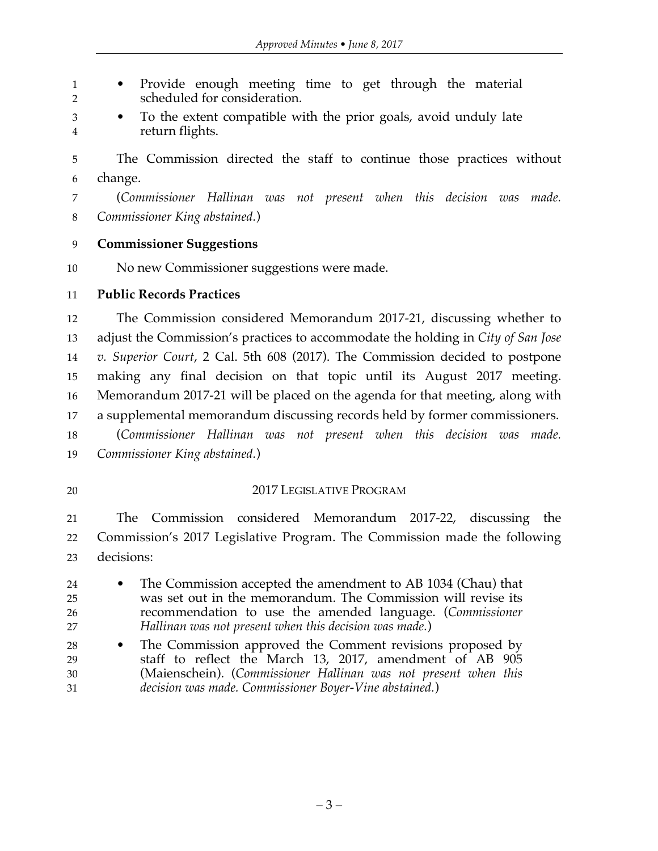• Provide enough meeting time to get through the material scheduled for consideration.

 • To the extent compatible with the prior goals, avoid unduly late return flights.

 The Commission directed the staff to continue those practices without change.

 (*Commissioner Hallinan was not present when this decision was made. Commissioner King abstained.*)

### **Commissioner Suggestions**

No new Commissioner suggestions were made.

#### **Public Records Practices**

 The Commission considered Memorandum 2017-21, discussing whether to adjust the Commission's practices to accommodate the holding in *City of San Jose v. Superior Court*, 2 Cal. 5th 608 (2017). The Commission decided to postpone making any final decision on that topic until its August 2017 meeting. Memorandum 2017-21 will be placed on the agenda for that meeting, along with a supplemental memorandum discussing records held by former commissioners. (*Commissioner Hallinan was not present when this decision was made. Commissioner King abstained.*)

## 20 2017 LEGISLATIVE PROGRAM

 The Commission considered Memorandum 2017-22, discussing the Commission's 2017 Legislative Program. The Commission made the following decisions:

- The Commission accepted the amendment to AB 1034 (Chau) that was set out in the memorandum. The Commission will revise its recommendation to use the amended language. (*Commissioner Hallinan was not present when this decision was made.*)
- The Commission approved the Comment revisions proposed by staff to reflect the March 13, 2017, amendment of AB 905 (Maienschein). (*Commissioner Hallinan was not present when this decision was made. Commissioner Boyer-Vine abstained.*)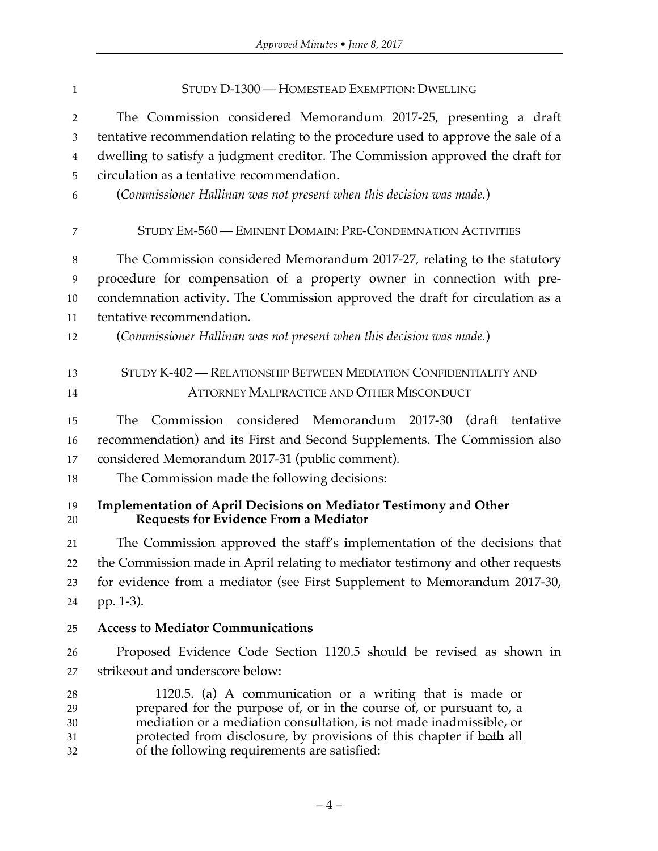| $\mathbf{1}$   | STUDY D-1300 — HOMESTEAD EXEMPTION: DWELLING                                                                         |
|----------------|----------------------------------------------------------------------------------------------------------------------|
| $\overline{2}$ | The Commission considered Memorandum 2017-25, presenting a draft                                                     |
| 3              | tentative recommendation relating to the procedure used to approve the sale of a                                     |
| $\overline{4}$ | dwelling to satisfy a judgment creditor. The Commission approved the draft for                                       |
| 5              | circulation as a tentative recommendation.                                                                           |
| 6              | (Commissioner Hallinan was not present when this decision was made.)                                                 |
| 7              | STUDY EM-560 - EMINENT DOMAIN: PRE-CONDEMNATION ACTIVITIES                                                           |
| 8              | The Commission considered Memorandum 2017-27, relating to the statutory                                              |
| 9              | procedure for compensation of a property owner in connection with pre-                                               |
| 10             | condemnation activity. The Commission approved the draft for circulation as a                                        |
| 11             | tentative recommendation.                                                                                            |
| 12             | (Commissioner Hallinan was not present when this decision was made.)                                                 |
| 13             | STUDY K-402 - RELATIONSHIP BETWEEN MEDIATION CONFIDENTIALITY AND                                                     |
| 14             | <b>ATTORNEY MALPRACTICE AND OTHER MISCONDUCT</b>                                                                     |
| 15             | Commission considered Memorandum 2017-30<br>The<br>(draft<br>tentative                                               |
| 16             | recommendation) and its First and Second Supplements. The Commission also                                            |
| 17             | considered Memorandum 2017-31 (public comment).                                                                      |
| 18             | The Commission made the following decisions:                                                                         |
| 19<br>20       | <b>Implementation of April Decisions on Mediator Testimony and Other</b><br>Requests for Evidence From a Mediator    |
| 21             | The Commission approved the staff's implementation of the decisions that                                             |
| 22             | the Commission made in April relating to mediator testimony and other requests                                       |
| 23             | for evidence from a mediator (see First Supplement to Memorandum 2017-30,                                            |
| 24             | pp. 1-3).                                                                                                            |
| 25             | <b>Access to Mediator Communications</b>                                                                             |
| 26             | Proposed Evidence Code Section 1120.5 should be revised as shown in                                                  |
| 27             | strikeout and underscore below:                                                                                      |
| 28             | 1120.5. (a) A communication or a writing that is made or                                                             |
| 29             | prepared for the purpose of, or in the course of, or pursuant to, a                                                  |
| 30             | mediation or a mediation consultation, is not made inadmissible, or                                                  |
| 31<br>32       | protected from disclosure, by provisions of this chapter if both all<br>of the following requirements are satisfied: |
|                |                                                                                                                      |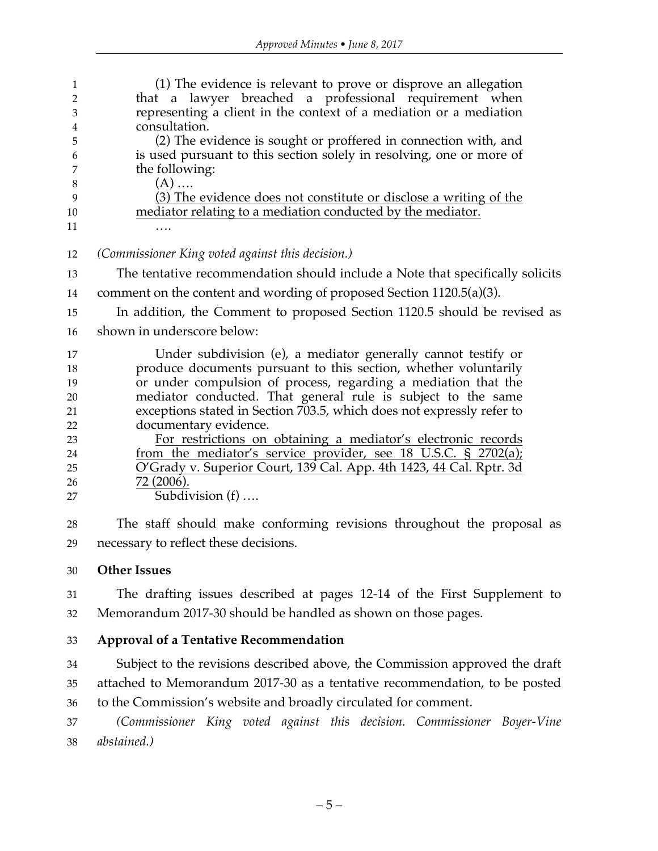| $\mathbf{1}$<br>$\overline{2}$<br>3 | (1) The evidence is relevant to prove or disprove an allegation<br>that a lawyer breached a professional requirement when<br>representing a client in the context of a mediation or a mediation |
|-------------------------------------|-------------------------------------------------------------------------------------------------------------------------------------------------------------------------------------------------|
| $\bf 4$                             | consultation.                                                                                                                                                                                   |
| 5                                   | (2) The evidence is sought or proffered in connection with, and                                                                                                                                 |
| 6                                   | is used pursuant to this section solely in resolving, one or more of                                                                                                                            |
| 7<br>8                              | the following:<br>$(A)$                                                                                                                                                                         |
| 9                                   | (3) The evidence does not constitute or disclose a writing of the                                                                                                                               |
| 10                                  | mediator relating to a mediation conducted by the mediator.                                                                                                                                     |
| 11                                  |                                                                                                                                                                                                 |
|                                     |                                                                                                                                                                                                 |
| 12                                  | (Commissioner King voted against this decision.)                                                                                                                                                |
| 13                                  | The tentative recommendation should include a Note that specifically solicits                                                                                                                   |
| 14                                  | comment on the content and wording of proposed Section $1120.5(a)(3)$ .                                                                                                                         |
| 15                                  | In addition, the Comment to proposed Section 1120.5 should be revised as                                                                                                                        |
| 16                                  | shown in underscore below:                                                                                                                                                                      |
| 17                                  | Under subdivision (e), a mediator generally cannot testify or                                                                                                                                   |
| 18                                  | produce documents pursuant to this section, whether voluntarily                                                                                                                                 |
| 19                                  | or under compulsion of process, regarding a mediation that the                                                                                                                                  |
| 20                                  | mediator conducted. That general rule is subject to the same                                                                                                                                    |
| 21                                  | exceptions stated in Section 703.5, which does not expressly refer to                                                                                                                           |
| 22                                  | documentary evidence.                                                                                                                                                                           |
| 23                                  | For restrictions on obtaining a mediator's electronic records                                                                                                                                   |
| 24                                  | from the mediator's service provider, see 18 U.S.C. § 2702(a);                                                                                                                                  |
| 25                                  | O'Grady v. Superior Court, 139 Cal. App. 4th 1423, 44 Cal. Rptr. 3d                                                                                                                             |
| 26                                  | 72 (2006).                                                                                                                                                                                      |
| 27                                  | Subdivision $(f)$                                                                                                                                                                               |
| 28                                  | The staff should make conforming revisions throughout the proposal as                                                                                                                           |
| 29                                  | necessary to reflect these decisions.                                                                                                                                                           |
| 30                                  | <b>Other Issues</b>                                                                                                                                                                             |

 The drafting issues described at pages 12-14 of the First Supplement to Memorandum 2017-30 should be handled as shown on those pages.

### **Approval of a Tentative Recommendation**

 Subject to the revisions described above, the Commission approved the draft attached to Memorandum 2017-30 as a tentative recommendation, to be posted to the Commission's website and broadly circulated for comment.

 *(Commissioner King voted against this decision. Commissioner Boyer-Vine abstained.)*